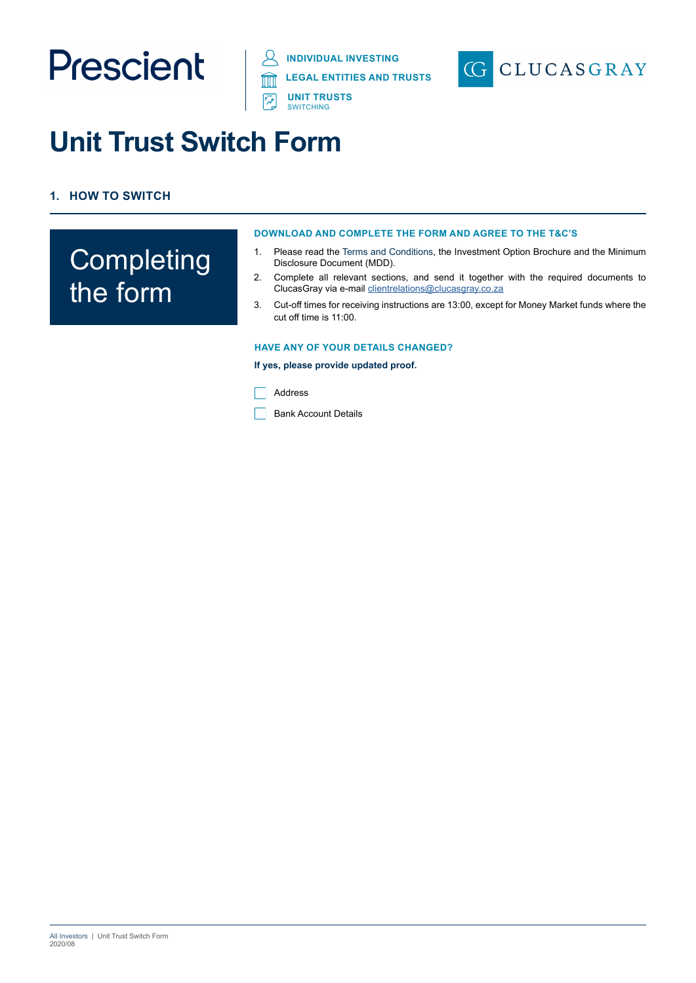





# **Unit Trust Switch Form**

# **1. HOW TO SWITCH**

# **Completing** the form

#### **DOWNLOAD AND COMPLETE THE FORM AND AGREE TO THE T&C'S**

- 1. Please read the Terms and Conditions, the Investment Option Brochure and the Minimum Disclosure Document (MDD).
- 2. Complete all relevant sections, and send it together with the required documents to ClucasGray via e-mail [clientrelations@clucasgray.co.za](mailto:clientrelations%40clucasgray.co.za?subject=ClucasGray%20Switch%20Form)
- 3. Cut-off times for receiving instructions are 13:00, except for Money Market funds where the cut off time is 11:00.

#### **HAVE ANY OF YOUR DETAILS CHANGED?**

#### **If yes, please provide updated proof.**

Address

**Bank Account Details**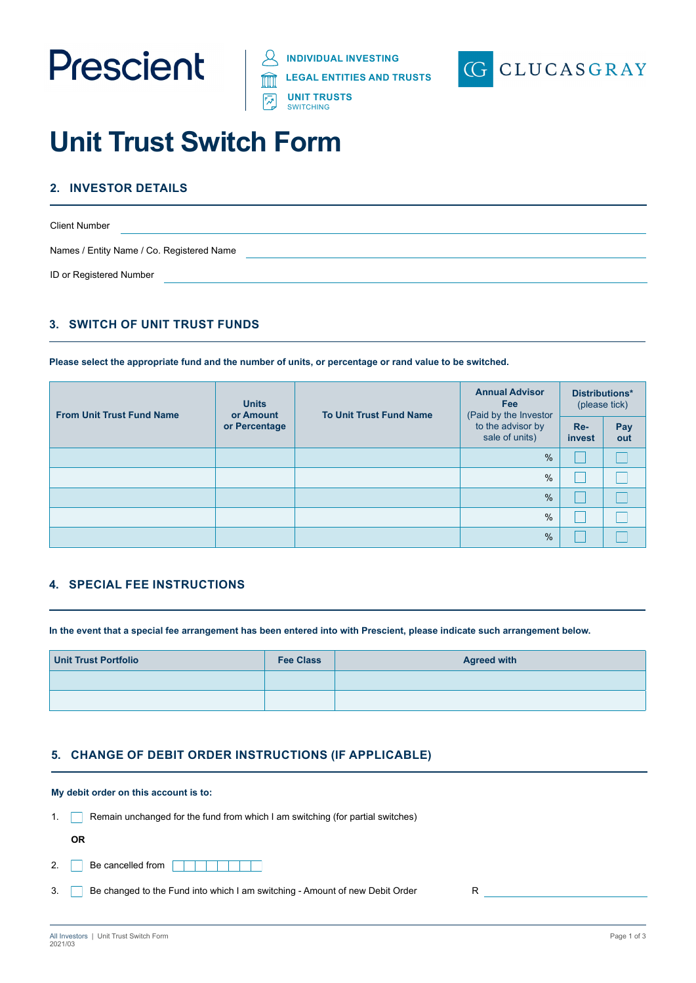





# **Unit Trust Switch Form**

# **2. INVESTOR DETAILS**

| <b>Client Number</b>                      |  |
|-------------------------------------------|--|
| Names / Entity Name / Co. Registered Name |  |
| ID or Registered Number                   |  |

# **3. SWITCH OF UNIT TRUST FUNDS**

**Please select the appropriate fund and the number of units, or percentage or rand value to be switched.** 

| <b>From Unit Trust Fund Name</b> | <b>Units</b><br>or Amount<br>or Percentage | <b>To Unit Trust Fund Name</b> | <b>Annual Advisor</b><br><b>Fee</b><br>(Paid by the Investor<br>to the advisor by<br>sale of units) | Distributions*<br>(please tick) |            |
|----------------------------------|--------------------------------------------|--------------------------------|-----------------------------------------------------------------------------------------------------|---------------------------------|------------|
|                                  |                                            |                                |                                                                                                     | Re-<br>invest                   | Pay<br>out |
|                                  |                                            |                                | $\frac{9}{6}$                                                                                       |                                 |            |
|                                  |                                            |                                | %                                                                                                   |                                 |            |
|                                  |                                            |                                | $\frac{9}{6}$                                                                                       |                                 |            |
|                                  |                                            |                                | $\frac{9}{6}$                                                                                       |                                 |            |
|                                  |                                            |                                | $\frac{0}{0}$                                                                                       |                                 |            |

## **4. SPECIAL FEE INSTRUCTIONS**

**In the event that a special fee arrangement has been entered into with Prescient, please indicate such arrangement below.**

| <b>Unit Trust Portfolio</b> | <b>Fee Class</b> | <b>Agreed with</b> |
|-----------------------------|------------------|--------------------|
|                             |                  |                    |
|                             |                  |                    |

## **5. CHANGE OF DEBIT ORDER INSTRUCTIONS (IF APPLICABLE)**

#### **My debit order on this account is to:**

1. Remain unchanged for the fund from which I am switching (for partial switches)

**OR**

- 2. Be cancelled from
- 3. Be changed to the Fund into which I am switching Amount of new Debit Order R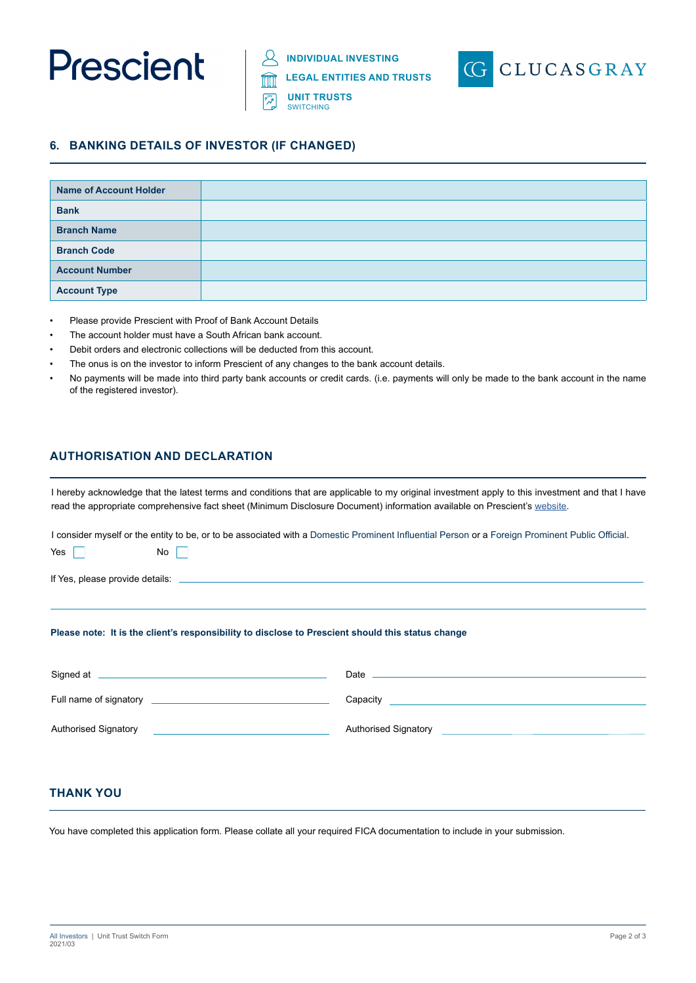

**UNIT TRUSTS SWITCHING** 



## **6. BANKING DETAILS OF INVESTOR (IF CHANGED)**

| <b>Name of Account Holder</b> |  |
|-------------------------------|--|
| <b>Bank</b>                   |  |
| <b>Branch Name</b>            |  |
| <b>Branch Code</b>            |  |
| <b>Account Number</b>         |  |
| <b>Account Type</b>           |  |

- Please provide Prescient with Proof of Bank Account Details
- The account holder must have a South African bank account.
- Debit orders and electronic collections will be deducted from this account.
- The onus is on the investor to inform Prescient of any changes to the bank account details.
- No payments will be made into third party bank accounts or credit cards. (i.e. payments will only be made to the bank account in the name of the registered investor).

# **AUTHORISATION AND DECLARATION**

I hereby acknowledge that the latest terms and conditions that are applicable to my original investment apply to this investment and that I have read the appropriate comprehensive fact sheet (Minimum Disclosure Document) information available on Prescient's website.

I consider myself or the entity to be, or to be associated with a Domestic Prominent Influential Person or a Foreign Prominent Public Official.

Yes  $\Box$  No  $\Box$ If Yes, please provide details: **Please note: It is the client's responsibility to disclose to Prescient should this status change** 

| Signed at                   | Date                        |
|-----------------------------|-----------------------------|
| Full name of signatory      | Capacity                    |
| <b>Authorised Signatory</b> | <b>Authorised Signatory</b> |

## **THANK YOU**

You have completed this application form. Please collate all your required FICA documentation to include in your submission.